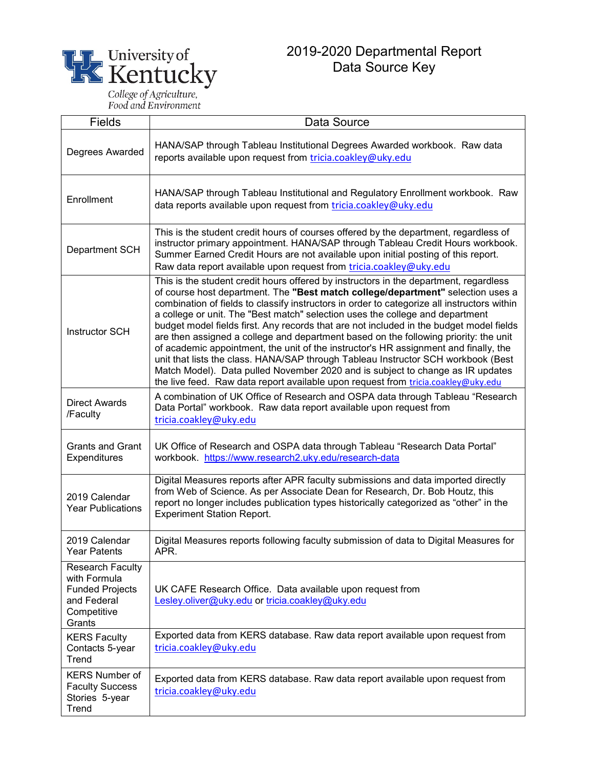

Food and Environment

Stories 5-year

**Trend** 

## 2019-2020 Departmental Report Data Source Key

Fields Data Source Degrees Awarded | HANA/SAP through Tableau Institutional Degrees Awarded workbook. Raw data reports available upon request from [tricia.coakley@uky.edu](mailto:tricia.coakley@uky.edu) Enrollment HANA/SAP through Tableau Institutional and Regulatory Enrollment workbook. Raw data reports available upon request from [tricia.coakley@uky.edu](mailto:tricia.coakley@uky.edu) Department SCH This is the student credit hours of courses offered by the department, regardless of instructor primary appointment. HANA/SAP through Tableau Credit Hours workbook. Summer Earned Credit Hours are not available upon initial posting of this report. Raw data report available upon request from [tricia.coakley@uky.edu](mailto:tricia.coakley@uky.edu) Instructor SCH This is the student credit hours offered by instructors in the department, regardless of course host department. The **"Best match college/department"** selection uses a combination of fields to classify instructors in order to categorize all instructors within a college or unit. The "Best match" selection uses the college and department budget model fields first. Any records that are not included in the budget model fields are then assigned a college and department based on the following priority: the unit of academic appointment, the unit of the instructor's HR assignment and finally, the unit that lists the class. HANA/SAP through Tableau Instructor SCH workbook (Best Match Model). Data pulled November 2020 and is subject to change as IR updates the live feed. Raw data report available upon request from [tricia.coakley@uky.edu](mailto:tricia.coakley@uky.edu) Direct Awards /Faculty A combination of UK Office of Research and OSPA data through Tableau "Research Data Portal" workbook. Raw data report available upon request from [tricia.coakley@uky.edu](mailto:tricia.coakley@uky.edu) Grants and Grant **Expenditures** UK Office of Research and OSPA data through Tableau "Research Data Portal" workbook.<https://www.research2.uky.edu/research-data> 2019 Calendar Year Publications Digital Measures reports after APR faculty submissions and data imported directly from Web of Science. As per Associate Dean for Research, Dr. Bob Houtz, this report no longer includes publication types historically categorized as "other" in the Experiment Station Report. 2019 Calendar Year Patents Digital Measures reports following faculty submission of data to Digital Measures for APR. Research Faculty with Formula Funded Projects and Federal **Competitive Grants** UK CAFE Research Office. Data available upon request from [Lesley.oliver@uky.edu](mailto:Lesley.oliver@uky.edu) or [tricia.coakley@uky.edu](mailto:tricia.coakley@uky.edu) KERS Faculty Contacts 5-year **Trend** Exported data from KERS database. Raw data report available upon request from [tricia.coakley@uky.edu](mailto:tricia.coakley@uky.edu) KERS Number of Faculty Success Exported data from KERS database. Raw data report available upon request from [tricia.coakley@uky.edu](mailto:tricia.coakley@uky.edu)